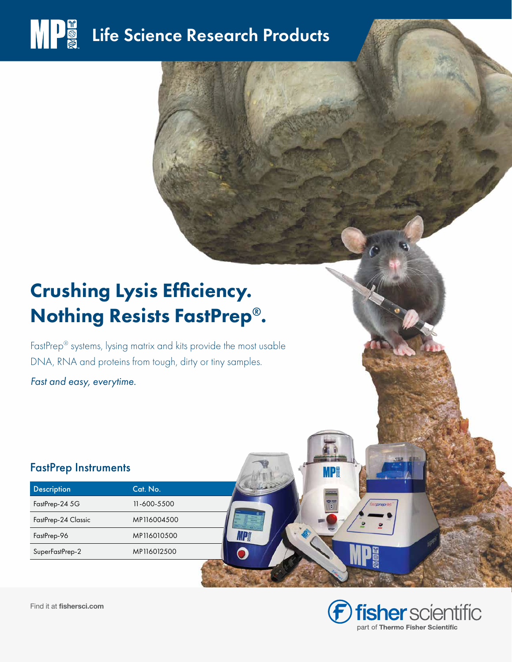# **MPE** Life Science Research Products

## Crushing Lysis Efficiency. Nothing Resists FastPrep®.

FastPrep® systems, lysing matrix and kits provide the most usable DNA, RNA and proteins from tough, dirty or tiny samples.

ИD

*Fast and easy, everytime.*

#### FastPrep Instruments

| <b>Description</b>  | Cat. No.          |
|---------------------|-------------------|
| FastPrep-24 5G      | $11 - 600 - 5500$ |
| FastPrep-24 Classic | MP116004500       |
| FastPrep-96         | MP116010500       |
| SuperFastPrep-2     | MP116012500       |



Find it at fishersci.com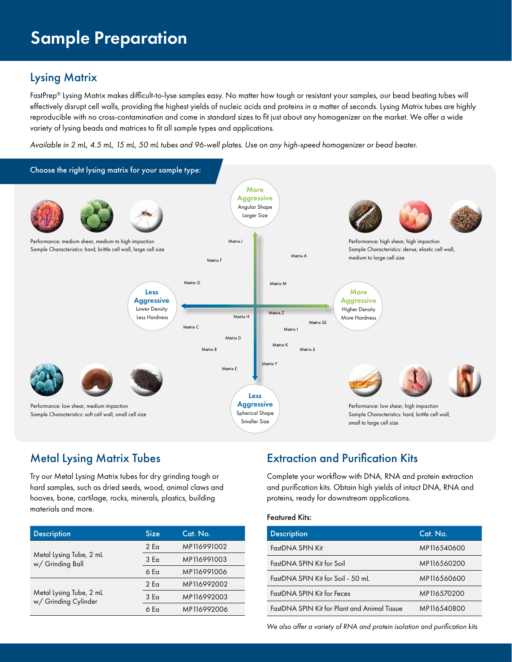### Lysing Matrix

FastPrep® Lysing Matrix makes difficult-to-lyse samples easy. No matter how tough or resistant your samples, our bead beating tubes will effectively disrupt cell walls, providing the highest yields of nucleic acids and proteins in a matter of seconds. Lysing Matrix tubes are highly reproducible with no cross-contamination and come in standard sizes to fit just about any homogenizer on the market. We offer a wide variety of lysing beads and matrices to fit all sample types and applications.

*Available in 2 mL, 4.5 mL, 15 mL, 50 mL tubes and 96-well plates. Use on any high-speed homogenizer or bead beater.*



#### Metal Lysing Matrix Tubes

Try our Metal Lysing Matrix tubes for dry grinding tough or hard samples, such as dried seeds, wood, animal claws and hooves, bone, cartilage, rocks, minerals, plastics, building materials and more.

| <b>Description</b>                              | <b>Size</b>     | Cat. No.    |
|-------------------------------------------------|-----------------|-------------|
|                                                 | 2 <sub>F</sub>  | MP116991002 |
| Metal Lysing Tube, 2 mL<br>w/ Grinding Ball     | 3 <sub>Eq</sub> | MP116991003 |
|                                                 | 6 Fa            | MP116991006 |
|                                                 | 2 <sub>5</sub>  | MP116992002 |
| Metal Lysing Tube, 2 mL<br>w/ Grinding Cylinder | 3 <sub>Eq</sub> | MP116992003 |
|                                                 | 6 Fa            | MP116992006 |

### Extraction and Purification Kits

Complete your workflow with DNA, RNA and protein extraction and purification kits. Obtain high yields of intact DNA, RNA and proteins, ready for downstream applications.

#### Featured Kits:

| <b>Description</b>                           | Cat. No.    |
|----------------------------------------------|-------------|
| FastDNA SPIN Kit                             | MP116540600 |
| FastDNA SPIN Kit for Soil                    | MP116560200 |
| FastDNA SPIN Kit for Soil - 50 mL            | MP116560600 |
| FastDNA SPIN Kit for Feces                   | MP116570200 |
| FastDNA SPIN Kit for Plant and Animal Tissue | MP116540800 |

*We also offer a variety of RNA and protein isolation and purification kits*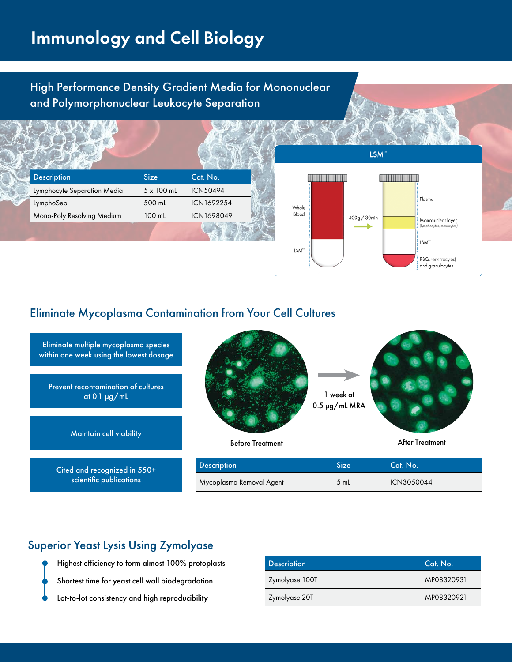## Immunology and Cell Biology

High Performance Density Gradient Media for Mononuclear and Polymorphonuclear Leukocyte Separation





#### Eliminate Mycoplasma Contamination from Your Cell Cultures



#### Superior Yeast Lysis Using Zymolyase

Highest efficiency to form almost 100% protoplasts Shortest time for yeast cell wall biodegradation Lot-to-lot consistency and high reproducibility

| <b>Description</b> | Cat. No.   |
|--------------------|------------|
| Zymolyase 100T     | MP08320931 |
| Zymolyase 20T      | MP08320921 |